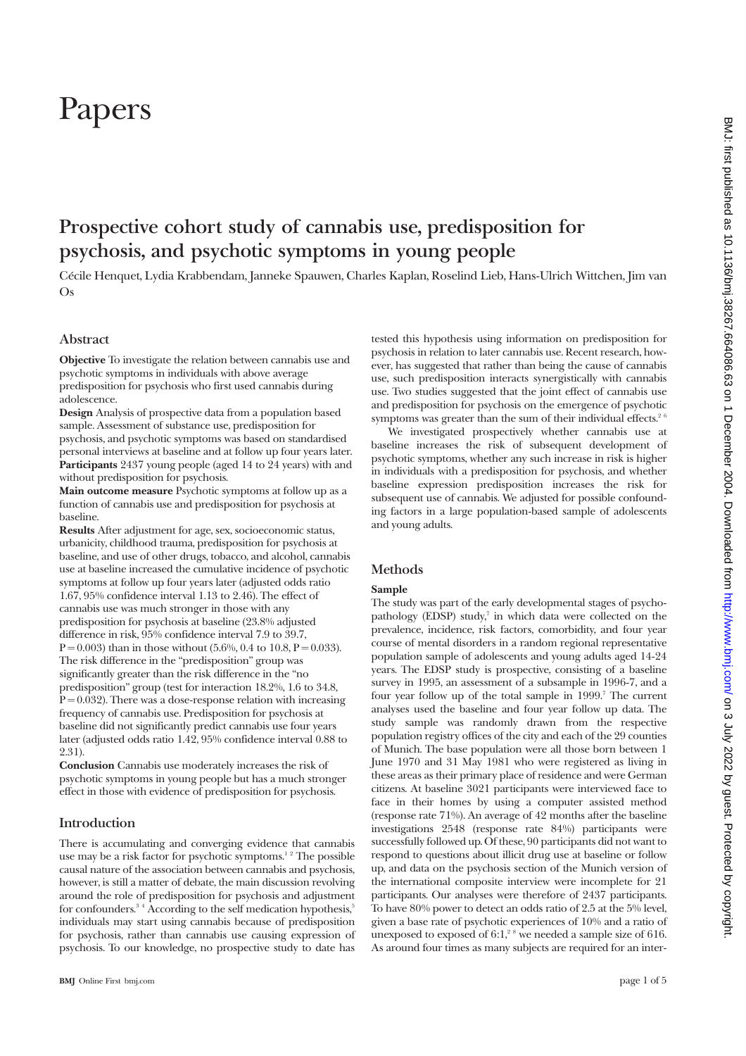# Papers

# **Prospective cohort study of cannabis use, predisposition for psychosis, and psychotic symptoms in young people**

Cécile Henquet, Lydia Krabbendam, Janneke Spauwen, Charles Kaplan, Roselind Lieb, Hans-Ulrich Wittchen, Jim van Os

# **Abstract**

**Objective** To investigate the relation between cannabis use and psychotic symptoms in individuals with above average predisposition for psychosis who first used cannabis during adolescence.

**Design** Analysis of prospective data from a population based sample. Assessment of substance use, predisposition for psychosis, and psychotic symptoms was based on standardised personal interviews at baseline and at follow up four years later. **Participants** 2437 young people (aged 14 to 24 years) with and without predisposition for psychosis.

**Main outcome measure** Psychotic symptoms at follow up as a function of cannabis use and predisposition for psychosis at baseline.

**Results** After adjustment for age, sex, socioeconomic status, urbanicity, childhood trauma, predisposition for psychosis at baseline, and use of other drugs, tobacco, and alcohol, cannabis use at baseline increased the cumulative incidence of psychotic symptoms at follow up four years later (adjusted odds ratio 1.67, 95% confidence interval 1.13 to 2.46). The effect of cannabis use was much stronger in those with any predisposition for psychosis at baseline (23.8% adjusted difference in risk, 95% confidence interval 7.9 to 39.7,  $P = 0.003$ ) than in those without  $(5.6\%, 0.4 \text{ to } 10.8, P = 0.033)$ . The risk difference in the "predisposition" group was significantly greater than the risk difference in the "no predisposition" group (test for interaction 18.2%, 1.6 to 34.8,  $P = 0.032$ ). There was a dose-response relation with increasing frequency of cannabis use. Predisposition for psychosis at baseline did not significantly predict cannabis use four years later (adjusted odds ratio 1.42, 95% confidence interval 0.88 to 2.31).

**Conclusion** Cannabis use moderately increases the risk of psychotic symptoms in young people but has a much stronger effect in those with evidence of predisposition for psychosis.

# **Introduction**

There is accumulating and converging evidence that cannabis use may be a risk factor for psychotic symptoms.<sup>12</sup> The possible causal nature of the association between cannabis and psychosis, however, is still a matter of debate, the main discussion revolving around the role of predisposition for psychosis and adjustment for confounders.<sup>34</sup> According to the self medication hypothesis,<sup>5</sup> individuals may start using cannabis because of predisposition for psychosis, rather than cannabis use causing expression of psychosis. To our knowledge, no prospective study to date has tested this hypothesis using information on predisposition for psychosis in relation to later cannabis use. Recent research, however, has suggested that rather than being the cause of cannabis use, such predisposition interacts synergistically with cannabis use. Two studies suggested that the joint effect of cannabis use and predisposition for psychosis on the emergence of psychotic symptoms was greater than the sum of their individual effects. $26$ 

We investigated prospectively whether cannabis use at baseline increases the risk of subsequent development of psychotic symptoms, whether any such increase in risk is higher in individuals with a predisposition for psychosis, and whether baseline expression predisposition increases the risk for subsequent use of cannabis. We adjusted for possible confounding factors in a large population-based sample of adolescents and young adults.

# **Methods**

## **Sample**

The study was part of the early developmental stages of psycho $pathology$  (EDSP) study,<sup>7</sup> in which data were collected on the prevalence, incidence, risk factors, comorbidity, and four year course of mental disorders in a random regional representative population sample of adolescents and young adults aged 14-24 years. The EDSP study is prospective, consisting of a baseline survey in 1995, an assessment of a subsample in 1996-7, and a four year follow up of the total sample in 1999.<sup>7</sup> The current analyses used the baseline and four year follow up data. The study sample was randomly drawn from the respective population registry offices of the city and each of the 29 counties of Munich. The base population were all those born between 1 June 1970 and 31 May 1981 who were registered as living in these areas as their primary place of residence and were German citizens. At baseline 3021 participants were interviewed face to face in their homes by using a computer assisted method (response rate 71%). An average of 42 months after the baseline investigations 2548 (response rate 84%) participants were successfully followed up. Of these, 90 participants did not want to respond to questions about illicit drug use at baseline or follow up, and data on the psychosis section of the Munich version of the international composite interview were incomplete for 21 participants. Our analyses were therefore of 2437 participants. To have 80% power to detect an odds ratio of 2.5 at the 5% level, given a base rate of psychotic experiences of 10% and a ratio of unexposed to exposed of 6:1,<sup>2</sup> <sup>8</sup> we needed a sample size of 616. As around four times as many subjects are required for an inter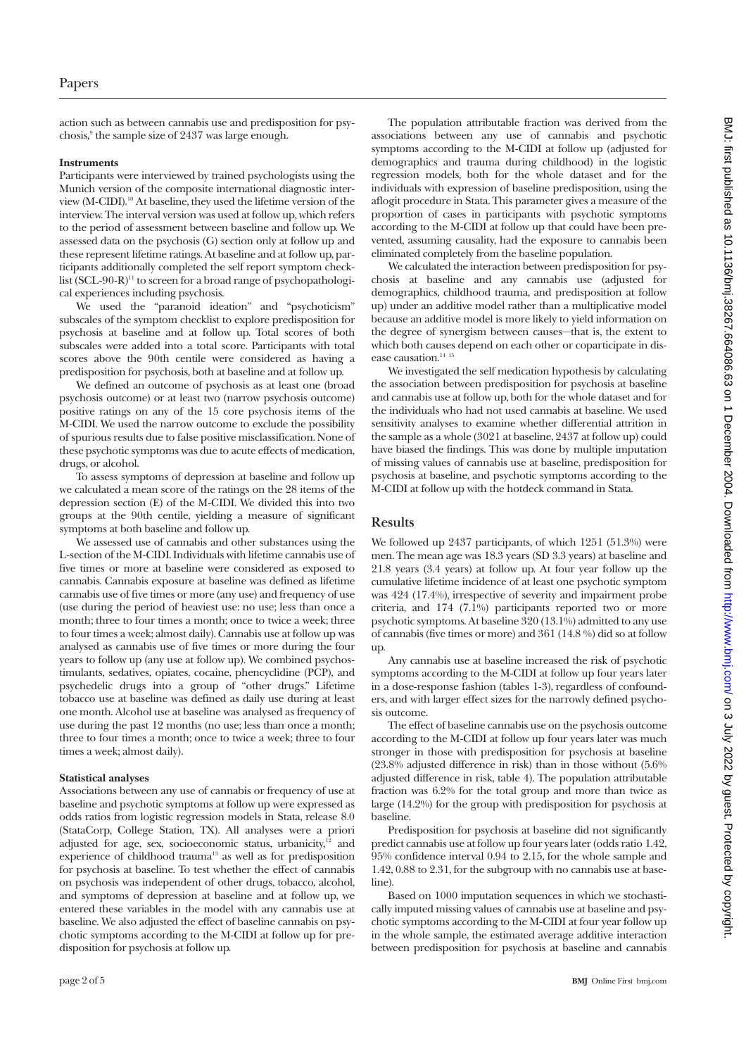action such as between cannabis use and predisposition for psychosis,<sup>9</sup> the sample size of 2437 was large enough.

#### **Instruments**

Participants were interviewed by trained psychologists using the Munich version of the composite international diagnostic interview (M-CIDI).<sup>10</sup> At baseline, they used the lifetime version of the interview. The interval version was used at follow up, which refers to the period of assessment between baseline and follow up. We assessed data on the psychosis (G) section only at follow up and these represent lifetime ratings. At baseline and at follow up, participants additionally completed the self report symptom checklist  $(SCL-90-R)^{11}$  to screen for a broad range of psychopathological experiences including psychosis.

We used the "paranoid ideation" and "psychoticism" subscales of the symptom checklist to explore predisposition for psychosis at baseline and at follow up. Total scores of both subscales were added into a total score. Participants with total scores above the 90th centile were considered as having a predisposition for psychosis, both at baseline and at follow up.

We defined an outcome of psychosis as at least one (broad psychosis outcome) or at least two (narrow psychosis outcome) positive ratings on any of the 15 core psychosis items of the M-CIDI. We used the narrow outcome to exclude the possibility of spurious results due to false positive misclassification. None of these psychotic symptoms was due to acute effects of medication, drugs, or alcohol.

To assess symptoms of depression at baseline and follow up we calculated a mean score of the ratings on the 28 items of the depression section (E) of the M-CIDI. We divided this into two groups at the 90th centile, yielding a measure of significant symptoms at both baseline and follow up.

We assessed use of cannabis and other substances using the L-section of the M-CIDI. Individuals with lifetime cannabis use of five times or more at baseline were considered as exposed to cannabis. Cannabis exposure at baseline was defined as lifetime cannabis use of five times or more (any use) and frequency of use (use during the period of heaviest use: no use; less than once a month; three to four times a month; once to twice a week; three to four times a week; almost daily). Cannabis use at follow up was analysed as cannabis use of five times or more during the four years to follow up (any use at follow up). We combined psychostimulants, sedatives, opiates, cocaine, phencyclidine (PCP), and psychedelic drugs into a group of "other drugs." Lifetime tobacco use at baseline was defined as daily use during at least one month. Alcohol use at baseline was analysed as frequency of use during the past 12 months (no use; less than once a month; three to four times a month; once to twice a week; three to four times a week; almost daily).

#### **Statistical analyses**

Associations between any use of cannabis or frequency of use at baseline and psychotic symptoms at follow up were expressed as odds ratios from logistic regression models in Stata, release 8.0 (StataCorp, College Station, TX). All analyses were a priori adjusted for age, sex, socioeconomic status, urbanicity,<sup>1</sup> experience of childhood trauma<sup>13</sup> as well as for predisposition for psychosis at baseline. To test whether the effect of cannabis on psychosis was independent of other drugs, tobacco, alcohol, and symptoms of depression at baseline and at follow up, we entered these variables in the model with any cannabis use at baseline. We also adjusted the effect of baseline cannabis on psychotic symptoms according to the M-CIDI at follow up for predisposition for psychosis at follow up.

The population attributable fraction was derived from the associations between any use of cannabis and psychotic symptoms according to the M-CIDI at follow up (adjusted for demographics and trauma during childhood) in the logistic regression models, both for the whole dataset and for the individuals with expression of baseline predisposition, using the aflogit procedure in Stata. This parameter gives a measure of the proportion of cases in participants with psychotic symptoms according to the M-CIDI at follow up that could have been prevented, assuming causality, had the exposure to cannabis been eliminated completely from the baseline population.

We calculated the interaction between predisposition for psychosis at baseline and any cannabis use (adjusted for demographics, childhood trauma, and predisposition at follow up) under an additive model rather than a multiplicative model because an additive model is more likely to yield information on the degree of synergism between causes—that is, the extent to which both causes depend on each other or coparticipate in disease causation. $^{\rm 14}$   $^{\rm 15}$ 

We investigated the self medication hypothesis by calculating the association between predisposition for psychosis at baseline and cannabis use at follow up, both for the whole dataset and for the individuals who had not used cannabis at baseline. We used sensitivity analyses to examine whether differential attrition in the sample as a whole (3021 at baseline, 2437 at follow up) could have biased the findings. This was done by multiple imputation of missing values of cannabis use at baseline, predisposition for psychosis at baseline, and psychotic symptoms according to the M-CIDI at follow up with the hotdeck command in Stata.

# **Results**

We followed up 2437 participants, of which 1251 (51.3%) were men. The mean age was 18.3 years (SD 3.3 years) at baseline and 21.8 years (3.4 years) at follow up. At four year follow up the cumulative lifetime incidence of at least one psychotic symptom was 424 (17.4%), irrespective of severity and impairment probe criteria, and 174 (7.1%) participants reported two or more psychotic symptoms. At baseline 320 (13.1%) admitted to any use of cannabis (five times or more) and 361 (14.8 %) did so at follow up.

Any cannabis use at baseline increased the risk of psychotic symptoms according to the M-CIDI at follow up four years later in a dose-response fashion (tables 1-3), regardless of confounders, and with larger effect sizes for the narrowly defined psychosis outcome.

The effect of baseline cannabis use on the psychosis outcome according to the M-CIDI at follow up four years later was much stronger in those with predisposition for psychosis at baseline (23.8% adjusted difference in risk) than in those without (5.6% adjusted difference in risk, table 4). The population attributable fraction was 6.2% for the total group and more than twice as large (14.2%) for the group with predisposition for psychosis at baseline.

Predisposition for psychosis at baseline did not significantly predict cannabis use at follow up four years later (odds ratio 1.42, 95% confidence interval 0.94 to 2.15, for the whole sample and 1.42, 0.88 to 2.31, for the subgroup with no cannabis use at baseline).

Based on 1000 imputation sequences in which we stochastically imputed missing values of cannabis use at baseline and psychotic symptoms according to the M-CIDI at four year follow up in the whole sample, the estimated average additive interaction between predisposition for psychosis at baseline and cannabis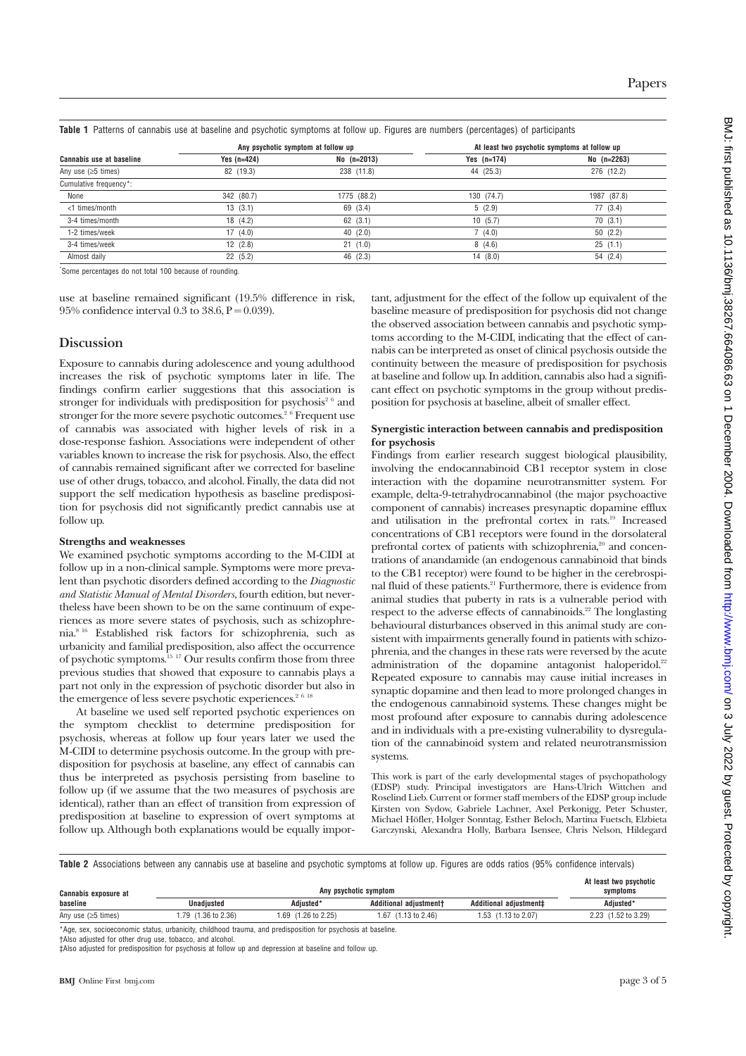|                          |                                    |                                 | <b>Table 1</b> Patterns of cannabis use at baseline and psychotic symptoms at follow up. Figures are numbers (percentages) of participants |               |
|--------------------------|------------------------------------|---------------------------------|--------------------------------------------------------------------------------------------------------------------------------------------|---------------|
|                          | Any psychotic symptom at follow up |                                 | At least two psychotic symptoms at follow up                                                                                               |               |
| Connebia was at beasting | $V_{\text{max}}$ ( $\approx$ 40.4) | $N = \{v \in \mathsf{O}(4.9)\}$ | $V_{\text{max}}$ (= 478)                                                                                                                   | $M = 1 - 000$ |

| Cannabis use at baseline | Yes $(n=424)$ | No $(n=2013)$ | Yes $(n=174)$ | $No (n=2263)$ |  |
|--------------------------|---------------|---------------|---------------|---------------|--|
| Any use $(\geq 5$ times) | 82 (19.3)     | 238 (11.8)    | 44 (25.3)     | 276 (12.2)    |  |
| Cumulative frequency*:   |               |               |               |               |  |
| None                     | 342 (80.7)    | 1775 (88.2)   | 130 (74.7)    | 1987 (87.8)   |  |
| <1 times/month           | 13(3.1)       | 69 (3.4)      | 5(2.9)        | 77 (3.4)      |  |
| 3-4 times/month          | 18(4.2)       | 62(3.1)       | 10(5.7)       | 70(3.1)       |  |
| 1-2 times/week           | 17(4.0)       | 40(2.0)       | 7(4.0)        | 50(2.2)       |  |
| 3-4 times/week           | 12(2.8)       | 21(1.0)       | 8(4.6)        | 25(1.1)       |  |
| Almost daily             | 22(5.2)       | 46 (2.3)      | 14(8.0)       | 54(2.4)       |  |

\* Some percentages do not total 100 because of rounding.

use at baseline remained significant (19.5% difference in risk, 95% confidence interval 0.3 to 38.6,  $P = 0.039$ ).

# **Discussion**

Exposure to cannabis during adolescence and young adulthood increases the risk of psychotic symptoms later in life. The findings confirm earlier suggestions that this association is stronger for individuals with predisposition for psychosis<sup>26</sup> and stronger for the more severe psychotic outcomes.<sup>2 6</sup> Frequent use of cannabis was associated with higher levels of risk in a dose-response fashion. Associations were independent of other variables known to increase the risk for psychosis. Also, the effect of cannabis remained significant after we corrected for baseline use of other drugs, tobacco, and alcohol. Finally, the data did not support the self medication hypothesis as baseline predisposition for psychosis did not significantly predict cannabis use at follow up.

## **Strengths and weaknesses**

We examined psychotic symptoms according to the M-CIDI at follow up in a non-clinical sample. Symptoms were more prevalent than psychotic disorders defined according to the *Diagnostic and Statistic Manual of Mental Disorders*, fourth edition, but nevertheless have been shown to be on the same continuum of experiences as more severe states of psychosis, such as schizophrenia.8 16 Established risk factors for schizophrenia, such as urbanicity and familial predisposition, also affect the occurrence of psychotic symptoms.15 17 Our results confirm those from three previous studies that showed that exposure to cannabis plays a part not only in the expression of psychotic disorder but also in the emergence of less severe psychotic experiences.<sup>2 6</sup>

At baseline we used self reported psychotic experiences on the symptom checklist to determine predisposition for psychosis, whereas at follow up four years later we used the M-CIDI to determine psychosis outcome. In the group with predisposition for psychosis at baseline, any effect of cannabis can thus be interpreted as psychosis persisting from baseline to follow up (if we assume that the two measures of psychosis are identical), rather than an effect of transition from expression of predisposition at baseline to expression of overt symptoms at follow up. Although both explanations would be equally important, adjustment for the effect of the follow up equivalent of the baseline measure of predisposition for psychosis did not change the observed association between cannabis and psychotic symptoms according to the M-CIDI, indicating that the effect of cannabis can be interpreted as onset of clinical psychosis outside the continuity between the measure of predisposition for psychosis at baseline and follow up. In addition, cannabis also had a significant effect on psychotic symptoms in the group without predisposition for psychosis at baseline, albeit of smaller effect.

# **Synergistic interaction between cannabis and predisposition for psychosis**

Findings from earlier research suggest biological plausibility, involving the endocannabinoid CB1 receptor system in close interaction with the dopamine neurotransmitter system. For example, delta-9-tetrahydrocannabinol (the major psychoactive component of cannabis) increases presynaptic dopamine efflux and utilisation in the prefrontal cortex in rats.19 Increased concentrations of CB1 receptors were found in the dorsolateral prefrontal cortex of patients with schizophrenia,<sup>20</sup> and concentrations of anandamide (an endogenous cannabinoid that binds to the CB1 receptor) were found to be higher in the cerebrospinal fluid of these patients.21 Furthermore, there is evidence from animal studies that puberty in rats is a vulnerable period with respect to the adverse effects of cannabinoids.<sup>22</sup> The longlasting behavioural disturbances observed in this animal study are consistent with impairments generally found in patients with schizophrenia, and the changes in these rats were reversed by the acute administration of the dopamine antagonist haloperidol.<sup>22</sup> Repeated exposure to cannabis may cause initial increases in synaptic dopamine and then lead to more prolonged changes in the endogenous cannabinoid systems. These changes might be most profound after exposure to cannabis during adolescence and in individuals with a pre-existing vulnerability to dysregulation of the cannabinoid system and related neurotransmission systems.

This work is part of the early developmental stages of psychopathology (EDSP) study. Principal investigators are Hans-Ulrich Wittchen and Roselind Lieb. Current or former staff members of the EDSP group include Kirsten von Sydow, Gabriele Lachner, Axel Perkonigg, Peter Schuster, Michael Höfler, Holger Sonntag, Esther Beloch, Martina Fuetsch, Elzbieta Garczynski, Alexandra Holly, Barbara Isensee, Chris Nelson, Hildegard

**Table 2** Associations between any cannabis use at baseline and psychotic symptoms at follow up. Figures are odds ratios (95% confidence intervals)

| Cannabis exposure at     |                    | At least two psychotic<br>symptoms |                        |                        |                     |
|--------------------------|--------------------|------------------------------------|------------------------|------------------------|---------------------|
| baseline                 | Unadiusted         | Adiusted*                          | Additional adiustment+ | Additional adjustment# | Adiusted*           |
| Any use $(\geq 5$ times) | .79 (1.36 to 2.36) | 1.69 (1.26 to 2.25)                | 1.67 (1.13 to 2.46)    | 1.53 (1.13 to 2.07)    | 2.23 (1.52 to 3.29) |

\*Age, sex, socioeconomic status, urbanicity, childhood trauma, and predisposition for psychosis at baseline.

†Also adjusted for other drug use, tobacco, and alcohol.

‡Also adjusted for predisposition for psychosis at follow up and depression at baseline and follow up.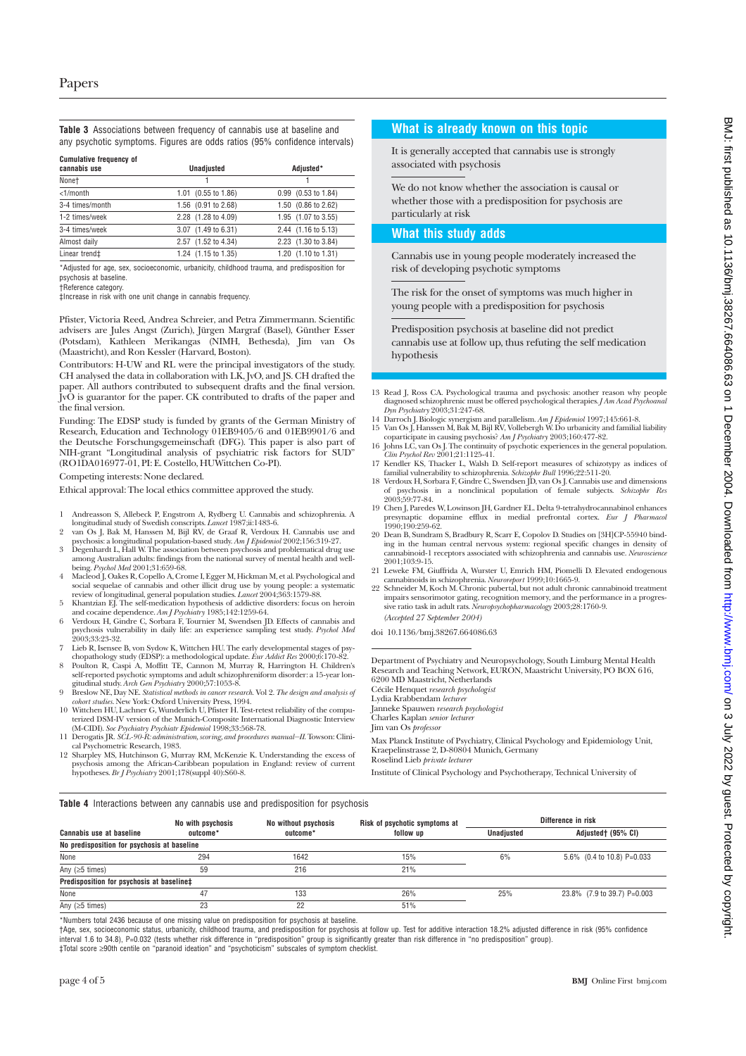**Table 3** Associations between frequency of cannabis use at baseline and any psychotic symptoms. Figures are odds ratios (95% confidence intervals)

| <b>Cumulative frequency of</b> |                     |                         |  |
|--------------------------------|---------------------|-------------------------|--|
| cannabis use                   | <b>Unadjusted</b>   | Adjusted*               |  |
| Nonet                          |                     |                         |  |
| $<$ 1/month                    | 1.01 (0.55 to 1.86) | $0.99$ $(0.53$ to 1.84) |  |
| 3-4 times/month                | 1.56 (0.91 to 2.68) | 1.50 (0.86 to 2.62)     |  |
| 1-2 times/week                 | 2.28 (1.28 to 4.09) | 1.95 (1.07 to 3.55)     |  |
| 3-4 times/week                 | 3.07 (1.49 to 6.31) | 2.44 (1.16 to 5.13)     |  |
| Almost daily                   | 2.57 (1.52 to 4.34) | 2.23 (1.30 to 3.84)     |  |
| Linear trend‡                  | 1.24 (1.15 to 1.35) | 1.20 (1.10 to 1.31)     |  |
|                                |                     |                         |  |

\*Adjusted for age, sex, socioeconomic, urbanicity, childhood trauma, and predisposition for psychosis at baseline.

†Reference category.

‡Increase in risk with one unit change in cannabis frequency.

Pfister, Victoria Reed, Andrea Schreier, and Petra Zimmermann. Scientific advisers are Jules Angst (Zurich), Jürgen Margraf (Basel), Günther Esser (Potsdam), Kathleen Merikangas (NIMH, Bethesda), Jim van Os (Maastricht), and Ron Kessler (Harvard, Boston).

Contributors: H-UW and RL were the principal investigators of the study. CH analysed the data in collaboration with LK, JvO, and JS. CH drafted the paper. All authors contributed to subsequent drafts and the final version. JvO is guarantor for the paper. CK contributed to drafts of the paper and the final version.

Funding: The EDSP study is funded by grants of the German Ministry of Research, Education and Technology 01EB9405/6 and 01EB9901/6 and the Deutsche Forschungsgemeinschaft (DFG). This paper is also part of NIH-grant "Longitudinal analysis of psychiatric risk factors for SUD" (RO1DA016977-01, PI: E. Costello, HUWittchen Co-PI).

Competing interests: None declared.

Ethical approval: The local ethics committee approved the study.

- 1 Andreasson S, Allebeck P, Engstrom A, Rydberg U. Cannabis and schizophrenia. A
- longitudinal study of Swedish conscripts. *Lancet* 1987;ii:1483-6. 2 van Os J, Bak M, Hanssen M, Bijl RV, de Graaf R, Verdoux H. Cannabis use and
- psychosis: a longitudinal population-based study. Am J Epidemiol 2002;156:319-27.<br>3 Degenhardt L, Hall W. The association between psychosis and problematical drug use<br>among Australian adults: findings from the national sur being. *Psychol Med* 2001;31:659-68.
- 4 Macleod J, Oakes R, Copello A, Crome I, Egger M, Hickman M, et al. Psychological and social sequelae of cannabis and other illicit drug use by young people: a systematic review of longitudinal, general population studies. *Lancet* 2004;363:1579-88.
- 5 Khantzian EJ. The self-medication hypothesis of addictive disorders: focus on heroin and cocaine dependence. *Am J Psychiatry* 1985;142:1259-64.
- 6 Verdoux H, Gindre C, Sorbara F, Tournier M, Swendsen JD. Effects of cannabis and psychosis vulnerability in daily life: an experience sampling test study. *Psychol Med* 2003;33:23-32.
- 7 Lieb R, Isensee B, von Sydow K, Wittchen HU. The early developmental stages of psy-
- chopathology study (EDSP): a methodological update. *Eur Addict Res* 2000;6:170-82. 8 Poulton R, Caspi A, Moffitt TE, Cannon M, Murray R, Harrington H. Children's self-reported psychotic symptoms and adult schizophreniform disorder: a 15-year lon-gitudinal study. *Arch Gen Psychiatry* 2000;57:1053-8.
- 9 Breslow NE, Day NE. *Statistical methods in cancer research.* Vol 2. *The design and analysis of cohort studies*. New York: Oxford University Press, 1994.
- 10 Wittchen HU, Lachner G, Wunderlich U, Pfister H. Test-retest reliability of the computerized DSM-IV version of the Munich-Composite International Diagnostic Interview (M-CIDI). *Soc Psychiatry Psychiatr Epidemiol* 1998;33:568-78.
- 11 Derogatis JR. *SCL-90-R: administration, scoring, and procedures manual—II*. Towson: Clini-cal Psychometric Research, 1983.
- 12 Sharpley MS, Hutchinson G, Murray RM, McKenzie K. Understanding the excess of psychosis among the African-Caribbean population in England: review of current hypotheses. *Br J Psychiatry* 2001;178(suppl 40):S60-8.

# **What is already known on this topic**

It is generally accepted that cannabis use is strongly associated with psychosis

We do not know whether the association is causal or whether those with a predisposition for psychosis are particularly at risk

#### **What this study adds**

Cannabis use in young people moderately increased the risk of developing psychotic symptoms

The risk for the onset of symptoms was much higher in young people with a predisposition for psychosis

Predisposition psychosis at baseline did not predict cannabis use at follow up, thus refuting the self medication hypothesis

- 13 Read J, Ross CA. Psychological trauma and psychosis: another reason why people diagnosed schizophrenic must be offered psychological therapies. *J Am Acad Psychoanal Dyn Psychiatry* 2003;31:247-68.
- 
- 14 Darroch J. Biologic synergism and parallelism. Am *J Epidemiol* 1997;145:661-8.<br>15 Van Os J, Hanssen M, Bak M, Bijl RV, Vollebergh W. Do urbanicity and familial liability<br>coparticipate in causing psychosis? Am *J Psych*
- 
- 17 Kendler KS, Thacker L, Walsh D. Self-report measures of schizotypy as indices of
- familial vulnerability to schizophrenia. *Schizophr Bull* 1996;22:511-20.<br>18 Verdoux H, Sorbara F, Gindre C, Swendsen JD, van Os J. Cannabis use and dimensions<br>of psychosis in a nonclinical population of female subjects. 2003;59:77-84.
- 19 Chen J, Paredes W, Lowinson JH, Gardner EL. Delta 9-tetrahydrocannabinol enhances presynaptic dopamine efflux in medial prefrontal cortex. *Eur J Pharmacol* 1990;190:259-62.
- 20 Dean B, Sundram S, Bradbury R, Scarr E, Copolov D. Studies on [3H]CP-55940 binding in the human central nervous system: regional specific changes in density of cannabinoid-1 receptors associated with schizophrenia and cannabis use. *Neuroscience* 2001;103:9-15.
- 21 Leweke FM, Giuffrida A, Wurster U, Emrich HM, Piomelli D. Elevated endogenous
- cannabinoids in schizophrenia. *Neuroreport* 1999;10:1665-9. 22 Schneider M, Koch M. Chronic pubertal, but not adult chronic cannabinoid treatment impairs sensorimotor gating, recognition memory, and the performance in a progressive ratio task in adult rats. *Neuropsychopharmacology* 2003;28:1760-9. *(Accepted 27 September 2004)*

doi 10.1136/bmj.38267.664086.63

Department of Psychiatry and Neuropsychology, South Limburg Mental Health Research and Teaching Network, EURON, Maastricht University, PO BOX 616, 6200 MD Maastricht, Netherlands

Cécile Henquet *research psychologist*

Lydia Krabbendam *lecture* 

Janneke Spauwen *research psychologist*

Charles Kaplan *senior lecturer*

Jim van Os *professor*

Max Planck Institute of Psychiatry, Clinical Psychology and Epidemiology Unit, Kraepelinstrasse 2, D-80804 Munich, Germany

Roselind Lieb *private lecturer*

Institute of Clinical Psychology and Psychotherapy, Technical University of

**Table 4** Interactions between any cannabis use and predisposition for psychosis

|                                             | No with psychosis | No without psychosis  | Risk of psychotic symptoms at | Difference in risk |                             |
|---------------------------------------------|-------------------|-----------------------|-------------------------------|--------------------|-----------------------------|
| Cannabis use at baseline                    | outcome*          | outcome*<br>follow up |                               | Unadiusted         | Adjusted† (95% CI)          |
| No predisposition for psychosis at baseline |                   |                       |                               |                    |                             |
| None                                        | 294               | 1642                  | 15%                           | 6%                 | 5.6% (0.4 to 10.8) P=0.033  |
| Any ( $\geq$ 5 times)                       | 59                | 216                   | 21%                           |                    |                             |
| Predisposition for psychosis at baseline‡   |                   |                       |                               |                    |                             |
| None                                        | 47                | 133                   | 26%                           | 25%                | 23.8% (7.9 to 39.7) P=0.003 |
| Any ( $\geq$ 5 times)                       | 23                | 22                    | 51%                           |                    |                             |

\*Numbers total 2436 because of one missing value on predisposition for psychosis at baseline.

†Age, sex, socioeconomic status, urbanicity, childhood trauma, and predisposition for psychosis at follow up. Test for additive interaction 18.2% adjusted difference in risk (95% confidence interval 1.6 to 34.8), P=0.032 (tests whether risk difference in "predisposition" group is significantly greater than risk difference in "no predisposition" group). ‡Total score ≥90th centile on "paranoid ideation" and "psychoticism" subscales of symptom checklist.